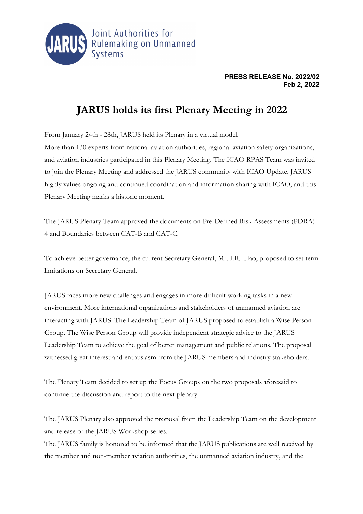

## **PRESS RELEASE No. 2022/02 Feb 2, 2022**

## **JARUS holds its first Plenary Meeting in 2022**

From January 24th - 28th, JARUS held its Plenary in a virtual model. More than 130 experts from national aviation authorities, regional aviation safety organizations, and aviation industries participated in this Plenary Meeting. The ICAO RPAS Team was invited to join the Plenary Meeting and addressed the JARUS community with ICAO Update. JARUS highly values ongoing and continued coordination and information sharing with ICAO, and this Plenary Meeting marks a historic moment.

The JARUS Plenary Team approved the documents on Pre-Defined Risk Assessments (PDRA) 4 and Boundaries between CAT-B and CAT-C.

To achieve better governance, the current Secretary General, Mr. LIU Hao, proposed to set term limitations on Secretary General.

JARUS faces more new challenges and engages in more difficult working tasks in a new environment. More international organizations and stakeholders of unmanned aviation are interacting with JARUS. The Leadership Team of JARUS proposed to establish a Wise Person Group. The Wise Person Group will provide independent strategic advice to the JARUS Leadership Team to achieve the goal of better management and public relations. The proposal witnessed great interest and enthusiasm from the JARUS members and industry stakeholders.

The Plenary Team decided to set up the Focus Groups on the two proposals aforesaid to continue the discussion and report to the next plenary.

The JARUS Plenary also approved the proposal from the Leadership Team on the development and release of the JARUS Workshop series.

The JARUS family is honored to be informed that the JARUS publications are well received by the member and non-member aviation authorities, the unmanned aviation industry, and the